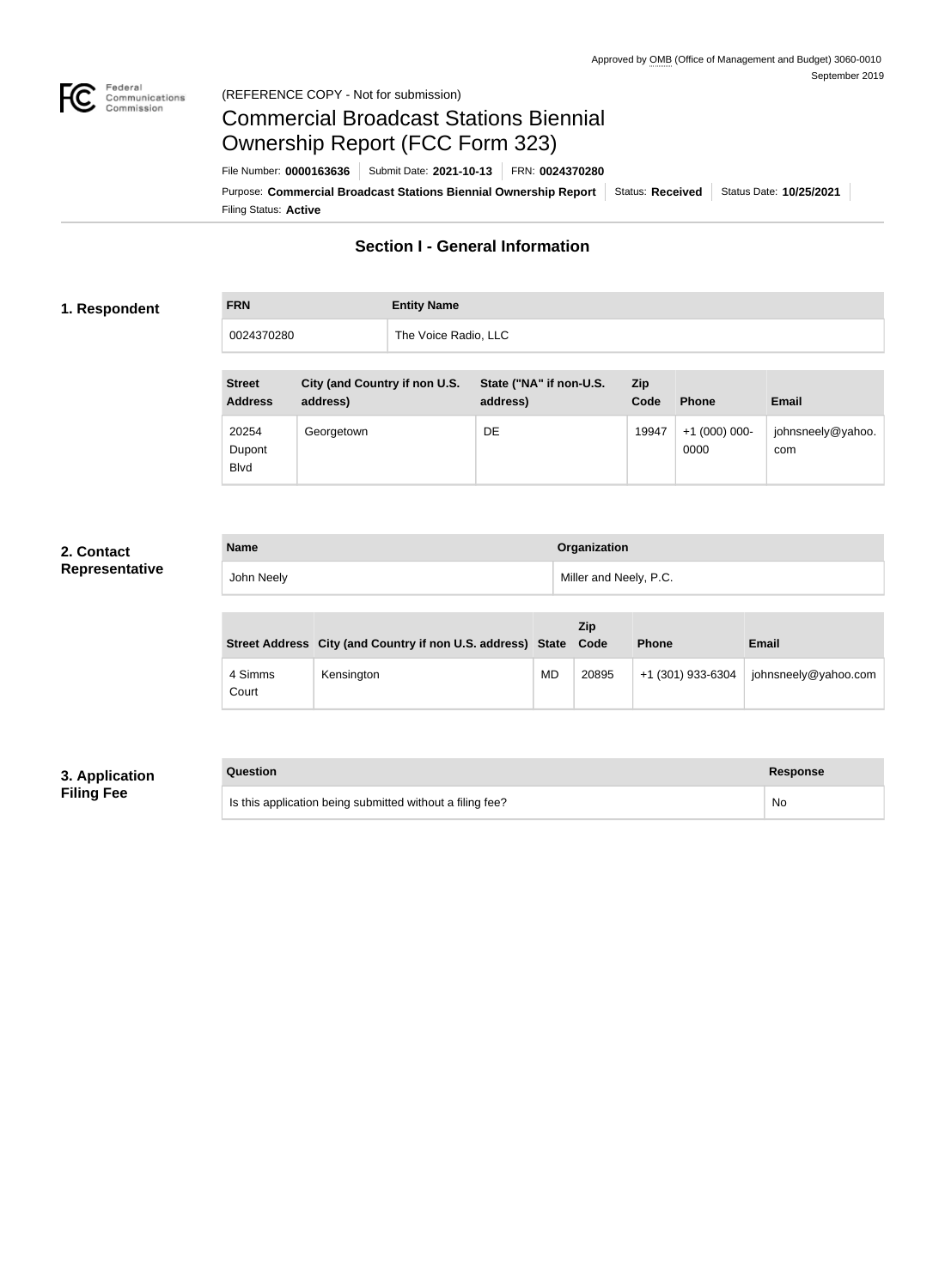

#### Federal<br>Communications<br>Commission (REFERENCE COPY - Not for submission)

# Commercial Broadcast Stations Biennial Ownership Report (FCC Form 323)

Filing Status: **Active** Purpose: Commercial Broadcast Stations Biennial Ownership Report Status: Received Status Date: 10/25/2021 File Number: **0000163636** Submit Date: **2021-10-13** FRN: **0024370280**

## **Section I - General Information**

#### **1. Respondent**

# **FRN Entity Name** 0024370280 The Voice Radio, LLC

| <b>Street</b><br><b>Address</b> | City (and Country if non U.S.<br>address) | State ("NA" if non-U.S.<br>address) | Zip<br>Code | <b>Phone</b>            | <b>Email</b>             |
|---------------------------------|-------------------------------------------|-------------------------------------|-------------|-------------------------|--------------------------|
| 20254<br>Dupont<br><b>B</b> lvd | Georgetown                                | DE                                  | 19947       | $+1$ (000) 000-<br>0000 | johnsneely@yahoo.<br>com |

## **2. Contact Representative**

| <b>Name</b> | Organization           |
|-------------|------------------------|
| John Neely  | Miller and Neely, P.C. |

|                  | Street Address City (and Country if non U.S. address) State Code |           | Zip   | <b>Phone</b>      | <b>Email</b>         |
|------------------|------------------------------------------------------------------|-----------|-------|-------------------|----------------------|
| 4 Simms<br>Court | Kensington                                                       | <b>MD</b> | 20895 | +1 (301) 933-6304 | johnsneely@yahoo.com |

## **3. Application Filing Fee**

### **Question Response**

Is this application being submitted without a filing fee? No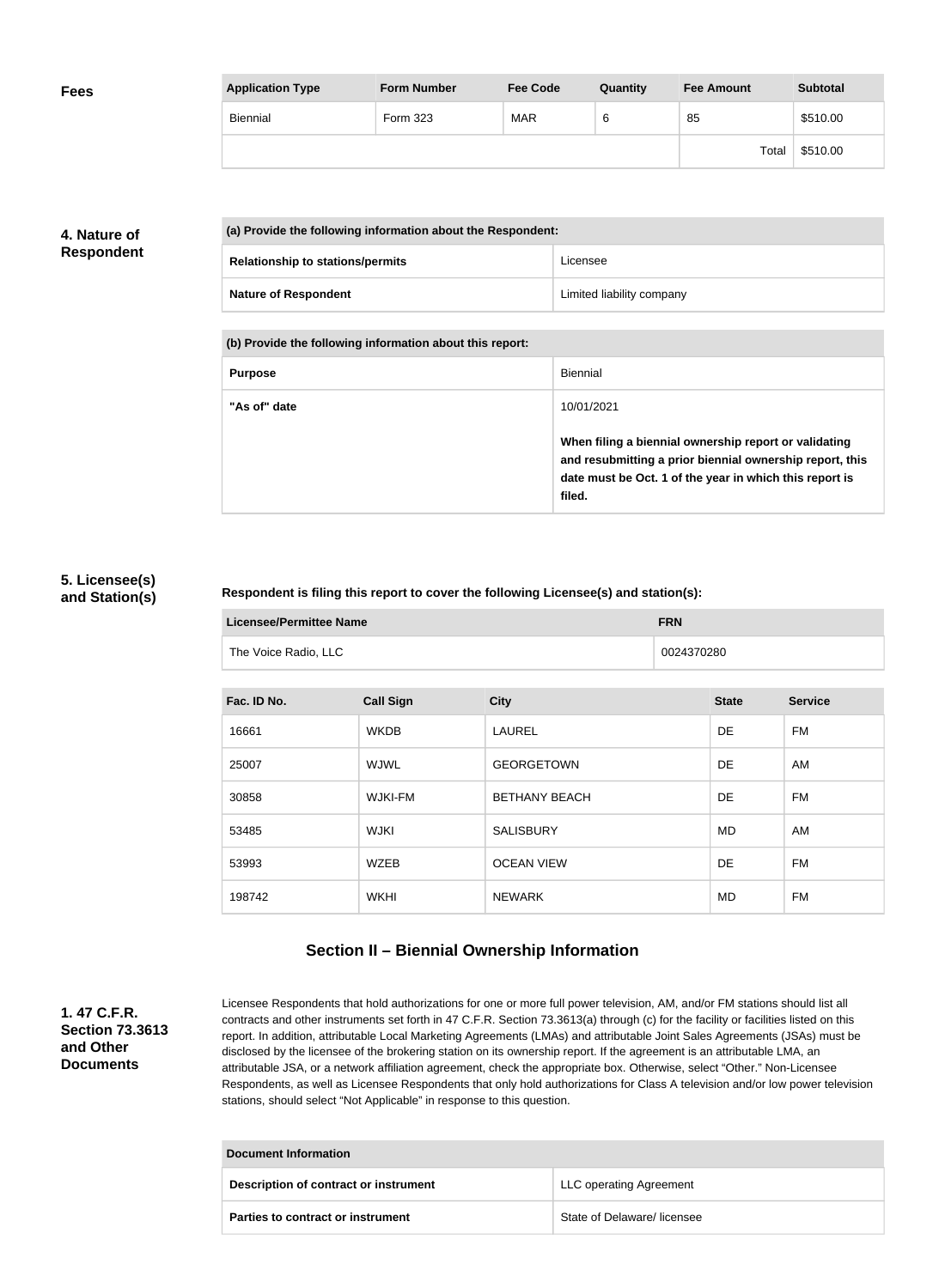| <b>Fees</b> | <b>Application Type</b> | <b>Form Number</b> | <b>Fee Code</b> | Quantity | <b>Fee Amount</b> | <b>Subtotal</b> |
|-------------|-------------------------|--------------------|-----------------|----------|-------------------|-----------------|
|             | Biennial                | Form 323           | <b>MAR</b>      | 6        | 85                | \$510.00        |
|             |                         |                    |                 |          | Total             | \$510.00        |

## **4. Nature of Respondent**

| (a) Provide the following information about the Respondent: |                           |  |
|-------------------------------------------------------------|---------------------------|--|
| <b>Relationship to stations/permits</b>                     | Licensee                  |  |
| <b>Nature of Respondent</b>                                 | Limited liability company |  |

**(b) Provide the following information about this report:**

| <b>Purpose</b> | Biennial                                                                                                                                                                               |
|----------------|----------------------------------------------------------------------------------------------------------------------------------------------------------------------------------------|
| "As of" date   | 10/01/2021                                                                                                                                                                             |
|                | When filing a biennial ownership report or validating<br>and resubmitting a prior biennial ownership report, this<br>date must be Oct. 1 of the year in which this report is<br>filed. |

## **5. Licensee(s) and Station(s)**

#### **Respondent is filing this report to cover the following Licensee(s) and station(s):**

| Licensee/Permittee Name | <b>FRN</b> |
|-------------------------|------------|
| The Voice Radio, LLC    | 0024370280 |

| Fac. ID No. | <b>Call Sign</b> | <b>City</b>          | <b>State</b> | <b>Service</b> |
|-------------|------------------|----------------------|--------------|----------------|
| 16661       | <b>WKDB</b>      | <b>LAUREL</b>        | DE.          | FM             |
| 25007       | <b>WJWL</b>      | <b>GEORGETOWN</b>    | <b>DE</b>    | AM             |
| 30858       | <b>WJKI-FM</b>   | <b>BETHANY BEACH</b> | DE           | FM             |
| 53485       | <b>WJKI</b>      | <b>SALISBURY</b>     | MD           | AM             |
| 53993       | <b>WZEB</b>      | <b>OCEAN VIEW</b>    | <b>DE</b>    | FM             |
| 198742      | WKHI             | <b>NEWARK</b>        | MD           | FM             |

## **Section II – Biennial Ownership Information**

**1. 47 C.F.R. Section 73.3613 and Other Documents**

Licensee Respondents that hold authorizations for one or more full power television, AM, and/or FM stations should list all contracts and other instruments set forth in 47 C.F.R. Section 73.3613(a) through (c) for the facility or facilities listed on this report. In addition, attributable Local Marketing Agreements (LMAs) and attributable Joint Sales Agreements (JSAs) must be disclosed by the licensee of the brokering station on its ownership report. If the agreement is an attributable LMA, an attributable JSA, or a network affiliation agreement, check the appropriate box. Otherwise, select "Other." Non-Licensee Respondents, as well as Licensee Respondents that only hold authorizations for Class A television and/or low power television stations, should select "Not Applicable" in response to this question.

| Document Information                  |                                |  |  |
|---------------------------------------|--------------------------------|--|--|
| Description of contract or instrument | <b>LLC operating Agreement</b> |  |  |
| Parties to contract or instrument     | State of Delaware/ licensee    |  |  |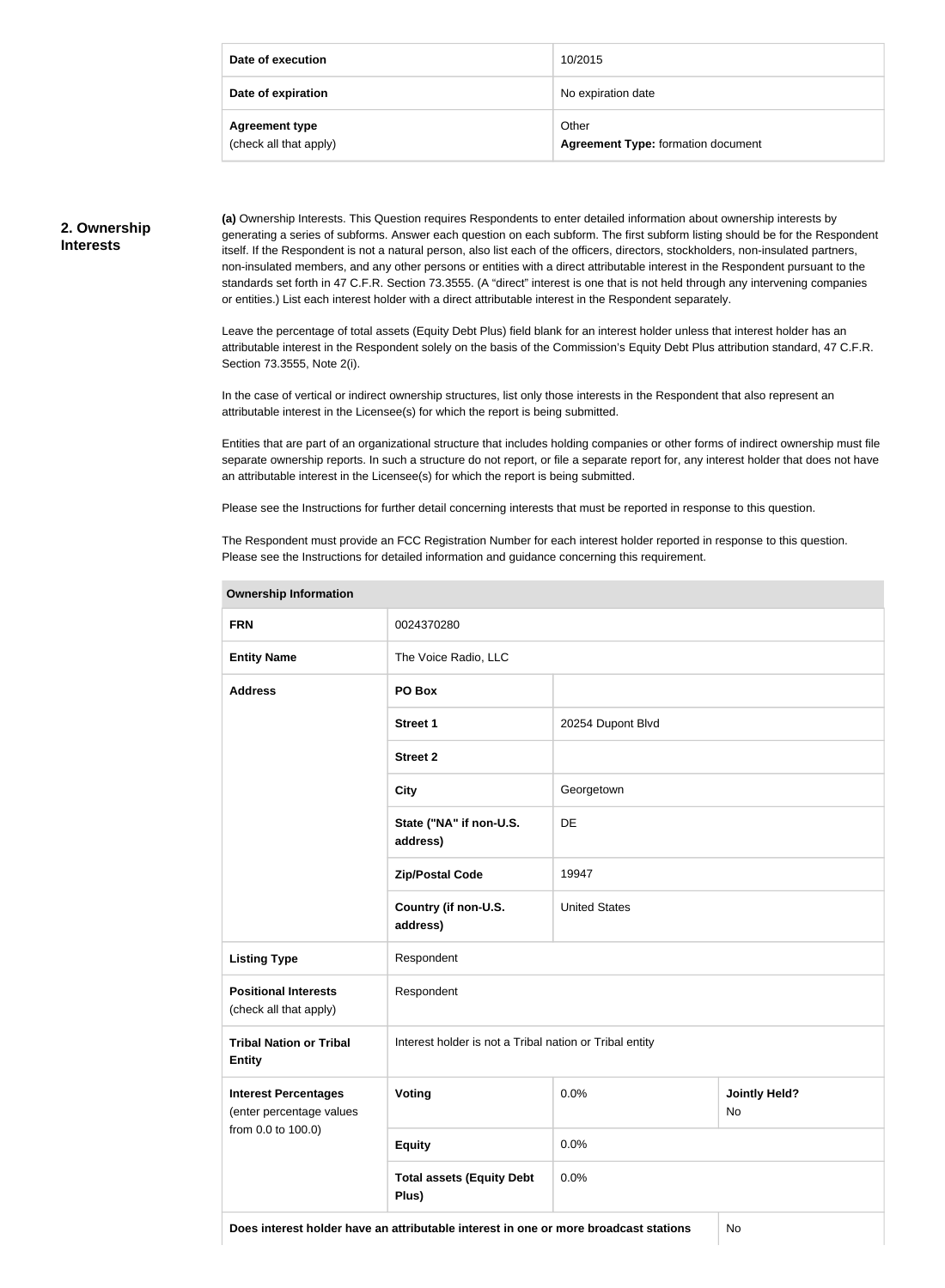| Date of execution                               | 10/2015                                            |
|-------------------------------------------------|----------------------------------------------------|
| Date of expiration                              | No expiration date                                 |
| <b>Agreement type</b><br>(check all that apply) | Other<br><b>Agreement Type: formation document</b> |

#### **2. Ownership Interests**

**(a)** Ownership Interests. This Question requires Respondents to enter detailed information about ownership interests by generating a series of subforms. Answer each question on each subform. The first subform listing should be for the Respondent itself. If the Respondent is not a natural person, also list each of the officers, directors, stockholders, non-insulated partners, non-insulated members, and any other persons or entities with a direct attributable interest in the Respondent pursuant to the standards set forth in 47 C.F.R. Section 73.3555. (A "direct" interest is one that is not held through any intervening companies or entities.) List each interest holder with a direct attributable interest in the Respondent separately.

Leave the percentage of total assets (Equity Debt Plus) field blank for an interest holder unless that interest holder has an attributable interest in the Respondent solely on the basis of the Commission's Equity Debt Plus attribution standard, 47 C.F.R. Section 73.3555, Note 2(i).

In the case of vertical or indirect ownership structures, list only those interests in the Respondent that also represent an attributable interest in the Licensee(s) for which the report is being submitted.

Entities that are part of an organizational structure that includes holding companies or other forms of indirect ownership must file separate ownership reports. In such a structure do not report, or file a separate report for, any interest holder that does not have an attributable interest in the Licensee(s) for which the report is being submitted.

Please see the Instructions for further detail concerning interests that must be reported in response to this question.

The Respondent must provide an FCC Registration Number for each interest holder reported in response to this question. Please see the Instructions for detailed information and guidance concerning this requirement.

| <b>FRN</b>                                              | 0024370280                                              |                      |                                   |  |
|---------------------------------------------------------|---------------------------------------------------------|----------------------|-----------------------------------|--|
| <b>Entity Name</b>                                      | The Voice Radio, LLC                                    |                      |                                   |  |
| <b>Address</b>                                          | PO Box                                                  |                      |                                   |  |
|                                                         | <b>Street 1</b>                                         | 20254 Dupont Blvd    |                                   |  |
|                                                         | <b>Street 2</b>                                         |                      |                                   |  |
|                                                         | <b>City</b>                                             | Georgetown           |                                   |  |
|                                                         | State ("NA" if non-U.S.<br>address)                     | DE                   |                                   |  |
|                                                         | <b>Zip/Postal Code</b>                                  | 19947                |                                   |  |
|                                                         | Country (if non-U.S.<br>address)                        | <b>United States</b> |                                   |  |
| <b>Listing Type</b>                                     | Respondent                                              |                      |                                   |  |
| <b>Positional Interests</b><br>(check all that apply)   | Respondent                                              |                      |                                   |  |
| <b>Tribal Nation or Tribal</b><br><b>Entity</b>         | Interest holder is not a Tribal nation or Tribal entity |                      |                                   |  |
| <b>Interest Percentages</b><br>(enter percentage values | Voting                                                  | 0.0%                 | <b>Jointly Held?</b><br><b>No</b> |  |
| from 0.0 to 100.0)                                      | <b>Equity</b>                                           | 0.0%                 |                                   |  |
|                                                         | <b>Total assets (Equity Debt</b><br>Plus)               | 0.0%                 |                                   |  |

# **Ownership Information**

**Does interest holder have an attributable interest in one or more broadcast stations** No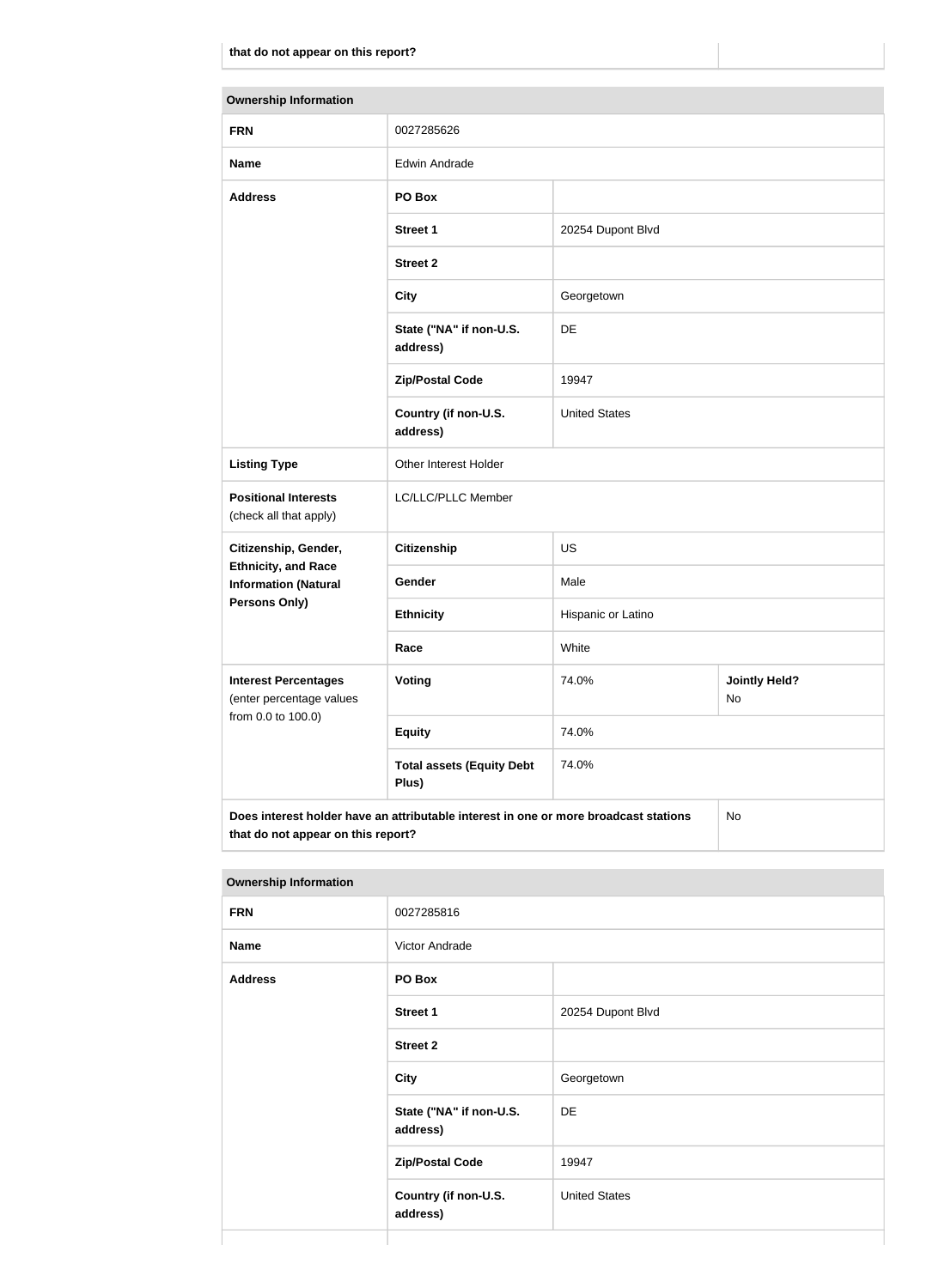| <b>Ownership Information</b>                              |                                                                                      |                      |                            |  |  |
|-----------------------------------------------------------|--------------------------------------------------------------------------------------|----------------------|----------------------------|--|--|
| <b>FRN</b>                                                | 0027285626                                                                           |                      |                            |  |  |
| <b>Name</b>                                               | <b>Edwin Andrade</b>                                                                 |                      |                            |  |  |
| <b>Address</b>                                            | PO Box                                                                               |                      |                            |  |  |
|                                                           | <b>Street 1</b>                                                                      | 20254 Dupont Blvd    |                            |  |  |
|                                                           | <b>Street 2</b>                                                                      |                      |                            |  |  |
|                                                           | <b>City</b>                                                                          | Georgetown           |                            |  |  |
|                                                           | State ("NA" if non-U.S.<br>address)                                                  | <b>DE</b>            |                            |  |  |
|                                                           | <b>Zip/Postal Code</b>                                                               | 19947                |                            |  |  |
|                                                           | Country (if non-U.S.<br>address)                                                     | <b>United States</b> |                            |  |  |
| <b>Listing Type</b>                                       | Other Interest Holder                                                                |                      |                            |  |  |
| <b>Positional Interests</b><br>(check all that apply)     | LC/LLC/PLLC Member                                                                   |                      |                            |  |  |
| Citizenship, Gender,                                      | <b>Citizenship</b>                                                                   | <b>US</b>            |                            |  |  |
| <b>Ethnicity, and Race</b><br><b>Information (Natural</b> | Gender                                                                               | Male                 |                            |  |  |
| <b>Persons Only)</b>                                      | <b>Ethnicity</b>                                                                     | Hispanic or Latino   |                            |  |  |
|                                                           | Race                                                                                 | White                |                            |  |  |
| <b>Interest Percentages</b><br>(enter percentage values   | Voting                                                                               | 74.0%                | <b>Jointly Held?</b><br>No |  |  |
| from 0.0 to 100.0)                                        | <b>Equity</b>                                                                        | 74.0%                |                            |  |  |
|                                                           | <b>Total assets (Equity Debt</b><br>Plus)                                            | 74.0%                |                            |  |  |
|                                                           | Does interest holder have an attributable interest in one or more broadcast stations |                      | No                         |  |  |

**that do not appear on this report?**

| <b>Ownership Information</b> |                                     |                      |
|------------------------------|-------------------------------------|----------------------|
| <b>FRN</b>                   | 0027285816                          |                      |
| <b>Name</b>                  | Victor Andrade                      |                      |
| <b>Address</b>               | PO Box                              |                      |
|                              | Street 1                            | 20254 Dupont Blvd    |
|                              | <b>Street 2</b>                     |                      |
|                              | <b>City</b>                         | Georgetown           |
|                              | State ("NA" if non-U.S.<br>address) | DE                   |
|                              | <b>Zip/Postal Code</b>              | 19947                |
|                              | Country (if non-U.S.<br>address)    | <b>United States</b> |
|                              |                                     |                      |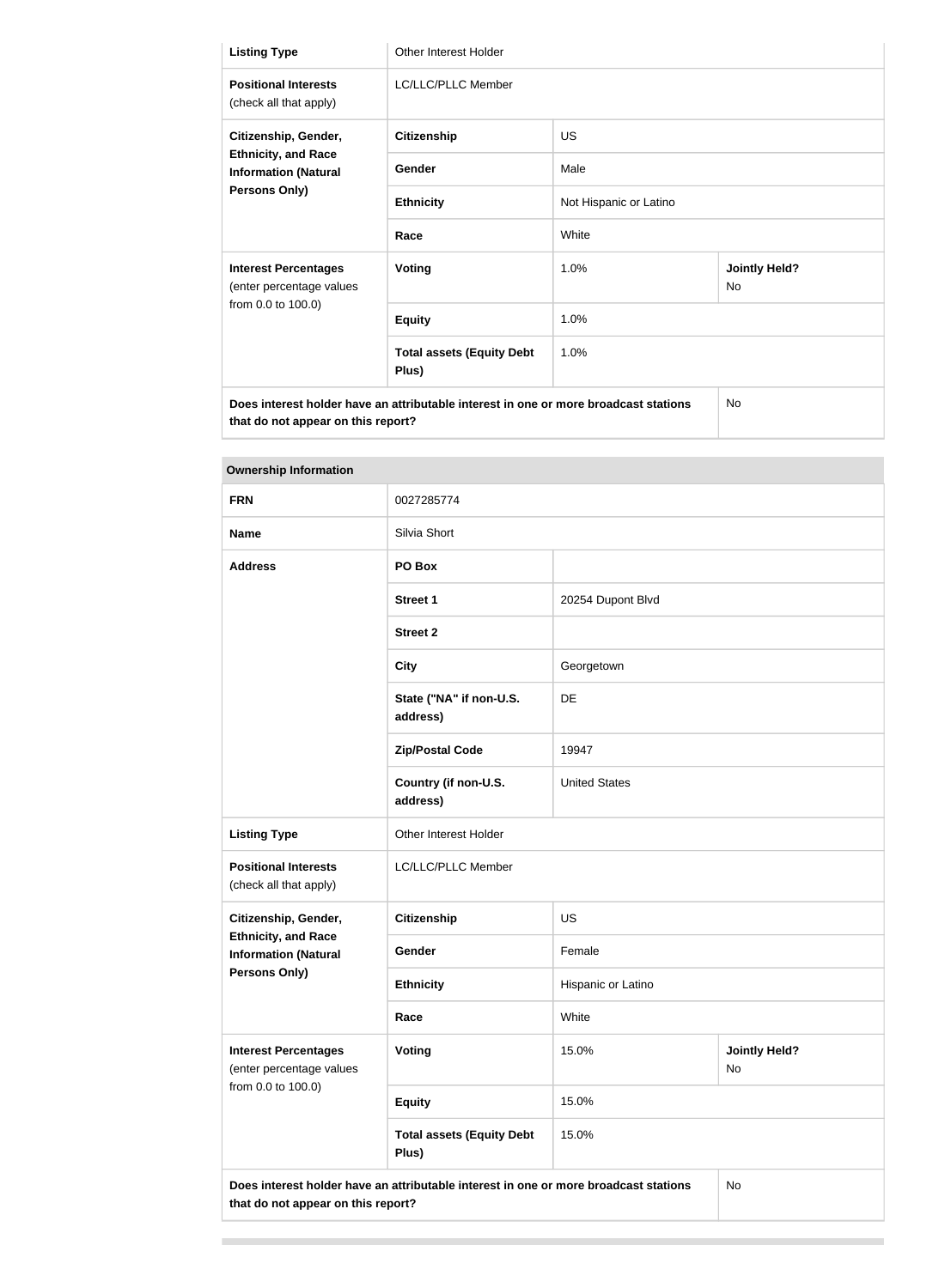| <b>Listing Type</b>                                                                                                        | <b>Other Interest Holder</b>              |                        |                                   |
|----------------------------------------------------------------------------------------------------------------------------|-------------------------------------------|------------------------|-----------------------------------|
| <b>Positional Interests</b><br>(check all that apply)                                                                      | <b>LC/LLC/PLLC Member</b>                 |                        |                                   |
| Citizenship, Gender,<br><b>Ethnicity, and Race</b><br><b>Information (Natural</b><br><b>Persons Only)</b>                  | <b>Citizenship</b>                        | <b>US</b>              |                                   |
|                                                                                                                            | Gender                                    | Male                   |                                   |
|                                                                                                                            | <b>Ethnicity</b>                          | Not Hispanic or Latino |                                   |
|                                                                                                                            | Race                                      | White                  |                                   |
| <b>Interest Percentages</b><br>(enter percentage values                                                                    | <b>Voting</b>                             | 1.0%                   | <b>Jointly Held?</b><br><b>No</b> |
| from 0.0 to 100.0)                                                                                                         | <b>Equity</b>                             | 1.0%                   |                                   |
|                                                                                                                            | <b>Total assets (Equity Debt</b><br>Plus) | 1.0%                   |                                   |
| Does interest holder have an attributable interest in one or more broadcast stations<br>that do not appear on this report? |                                           |                        | <b>No</b>                         |

#### **Ownership Information**

| <b>FRN</b>                                                                                                | 0027285774                                                                           |                      |                            |
|-----------------------------------------------------------------------------------------------------------|--------------------------------------------------------------------------------------|----------------------|----------------------------|
| <b>Name</b>                                                                                               | Silvia Short                                                                         |                      |                            |
| <b>Address</b>                                                                                            | PO Box                                                                               |                      |                            |
|                                                                                                           | <b>Street 1</b>                                                                      | 20254 Dupont Blvd    |                            |
|                                                                                                           | <b>Street 2</b>                                                                      |                      |                            |
|                                                                                                           | <b>City</b>                                                                          | Georgetown           |                            |
|                                                                                                           | State ("NA" if non-U.S.<br>address)                                                  | DE                   |                            |
|                                                                                                           | <b>Zip/Postal Code</b>                                                               | 19947                |                            |
|                                                                                                           | Country (if non-U.S.<br>address)                                                     | <b>United States</b> |                            |
| <b>Listing Type</b>                                                                                       | Other Interest Holder                                                                |                      |                            |
| <b>Positional Interests</b><br>(check all that apply)                                                     | LC/LLC/PLLC Member                                                                   |                      |                            |
| Citizenship, Gender,<br><b>Ethnicity, and Race</b><br><b>Information (Natural</b><br><b>Persons Only)</b> | <b>Citizenship</b>                                                                   | <b>US</b>            |                            |
|                                                                                                           | Gender                                                                               | Female               |                            |
|                                                                                                           | <b>Ethnicity</b>                                                                     | Hispanic or Latino   |                            |
|                                                                                                           | Race                                                                                 | White                |                            |
| <b>Interest Percentages</b><br>(enter percentage values                                                   | Voting                                                                               | 15.0%                | <b>Jointly Held?</b><br>No |
| from 0.0 to 100.0)                                                                                        | <b>Equity</b>                                                                        | 15.0%                |                            |
|                                                                                                           | <b>Total assets (Equity Debt</b><br>Plus)                                            | 15.0%                |                            |
| that do not appear on this report?                                                                        | Does interest holder have an attributable interest in one or more broadcast stations |                      | <b>No</b>                  |
|                                                                                                           |                                                                                      |                      |                            |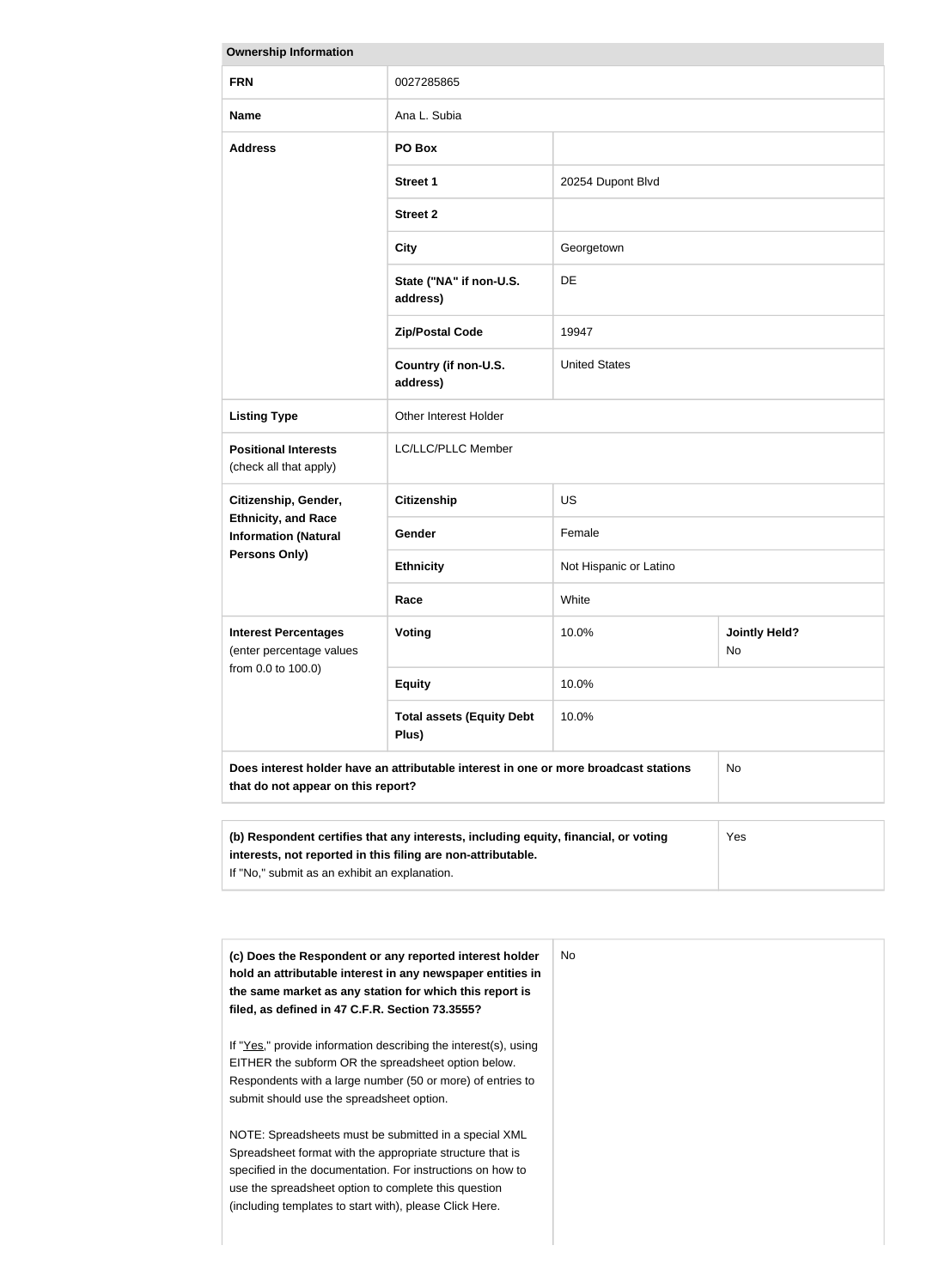| <b>Ownership Information</b>                                                      |                                                                                      |                        |                            |
|-----------------------------------------------------------------------------------|--------------------------------------------------------------------------------------|------------------------|----------------------------|
| <b>FRN</b>                                                                        | 0027285865                                                                           |                        |                            |
| <b>Name</b>                                                                       | Ana L. Subia                                                                         |                        |                            |
| <b>Address</b>                                                                    | PO Box                                                                               |                        |                            |
|                                                                                   | <b>Street 1</b>                                                                      | 20254 Dupont Blvd      |                            |
|                                                                                   | <b>Street 2</b>                                                                      |                        |                            |
|                                                                                   | <b>City</b>                                                                          | Georgetown             |                            |
|                                                                                   | State ("NA" if non-U.S.<br>address)                                                  | <b>DE</b>              |                            |
|                                                                                   | <b>Zip/Postal Code</b>                                                               | 19947                  |                            |
|                                                                                   | Country (if non-U.S.<br>address)                                                     | <b>United States</b>   |                            |
| <b>Listing Type</b>                                                               | Other Interest Holder                                                                |                        |                            |
| <b>Positional Interests</b><br>(check all that apply)                             | LC/LLC/PLLC Member                                                                   |                        |                            |
| Citizenship, Gender,<br><b>Ethnicity, and Race</b><br><b>Information (Natural</b> | <b>Citizenship</b>                                                                   | <b>US</b>              |                            |
|                                                                                   | Gender                                                                               | Female                 |                            |
| <b>Persons Only)</b>                                                              | <b>Ethnicity</b>                                                                     | Not Hispanic or Latino |                            |
|                                                                                   | Race                                                                                 | White                  |                            |
| <b>Interest Percentages</b><br>(enter percentage values                           | <b>Voting</b>                                                                        | 10.0%                  | <b>Jointly Held?</b><br>No |
| from 0.0 to 100.0)                                                                | <b>Equity</b>                                                                        | 10.0%                  |                            |
|                                                                                   | <b>Total assets (Equity Debt</b><br>Plus)                                            | 10.0%                  |                            |
| that do not appear on this report?                                                | Does interest holder have an attributable interest in one or more broadcast stations |                        | No                         |
|                                                                                   |                                                                                      |                        |                            |
|                                                                                   |                                                                                      |                        |                            |

| (b) Respondent certifies that any interests, including equity, financial, or voting | Yes |
|-------------------------------------------------------------------------------------|-----|
| interests, not reported in this filing are non-attributable.                        |     |
| If "No," submit as an exhibit an explanation.                                       |     |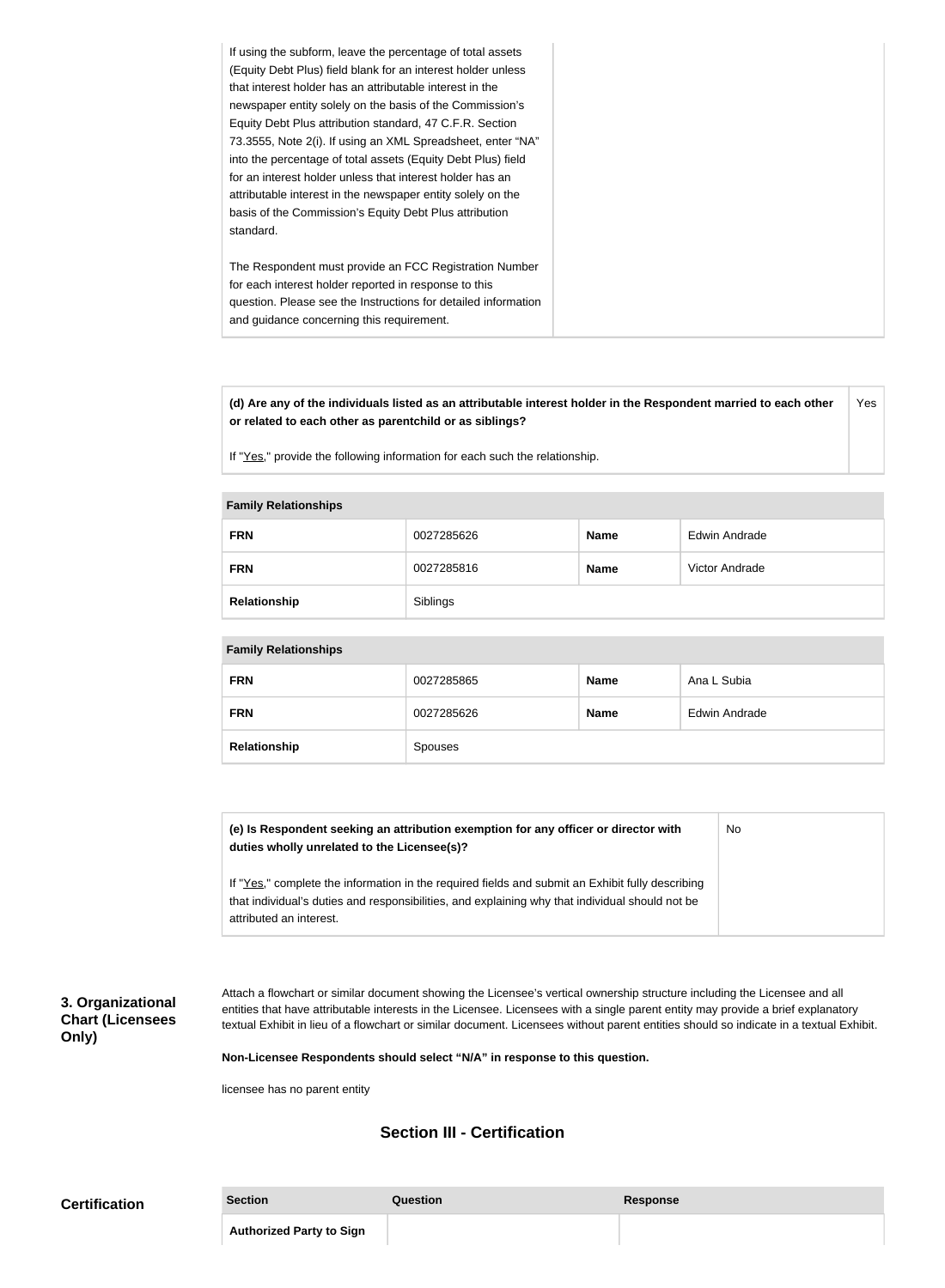|                                                                                                             | If using the subform, leave the percentage of total assets<br>(Equity Debt Plus) field blank for an interest holder unless<br>that interest holder has an attributable interest in the<br>newspaper entity solely on the basis of the Commission's<br>Equity Debt Plus attribution standard, 47 C.F.R. Section<br>73.3555, Note 2(i). If using an XML Spreadsheet, enter "NA"<br>into the percentage of total assets (Equity Debt Plus) field<br>for an interest holder unless that interest holder has an<br>attributable interest in the newspaper entity solely on the<br>basis of the Commission's Equity Debt Plus attribution |
|-------------------------------------------------------------------------------------------------------------|-------------------------------------------------------------------------------------------------------------------------------------------------------------------------------------------------------------------------------------------------------------------------------------------------------------------------------------------------------------------------------------------------------------------------------------------------------------------------------------------------------------------------------------------------------------------------------------------------------------------------------------|
|                                                                                                             |                                                                                                                                                                                                                                                                                                                                                                                                                                                                                                                                                                                                                                     |
|                                                                                                             |                                                                                                                                                                                                                                                                                                                                                                                                                                                                                                                                                                                                                                     |
| The Respondent must provide an FCC Registration Number                                                      |                                                                                                                                                                                                                                                                                                                                                                                                                                                                                                                                                                                                                                     |
| for each interest holder reported in response to this                                                       |                                                                                                                                                                                                                                                                                                                                                                                                                                                                                                                                                                                                                                     |
| question. Please see the Instructions for detailed information<br>and guidance concerning this requirement. |                                                                                                                                                                                                                                                                                                                                                                                                                                                                                                                                                                                                                                     |

**(d) Are any of the individuals listed as an attributable interest holder in the Respondent married to each other or related to each other as parentchild or as siblings?** Yes

If "Yes," provide the following information for each such the relationship.

#### **Family Relationships**

| <b>FRN</b>   | 0027285626 | <b>Name</b> | Edwin Andrade  |
|--------------|------------|-------------|----------------|
| <b>FRN</b>   | 0027285816 | <b>Name</b> | Victor Andrade |
| Relationship | Siblings   |             |                |

#### **Family Relationships**

| <b>FRN</b>   | 0027285865 | <b>Name</b> | Ana L Subia   |
|--------------|------------|-------------|---------------|
| <b>FRN</b>   | 0027285626 | <b>Name</b> | Edwin Andrade |
| Relationship | Spouses    |             |               |

| (e) Is Respondent seeking an attribution exemption for any officer or director with<br>duties wholly unrelated to the Licensee(s)?                                                                  | No |
|-----------------------------------------------------------------------------------------------------------------------------------------------------------------------------------------------------|----|
| If "Yes," complete the information in the required fields and submit an Exhibit fully describing<br>that individual's duties and responsibilities, and explaining why that individual should not be |    |
| attributed an interest.                                                                                                                                                                             |    |

#### **3. Organizational Chart (Licensees Only)**

Attach a flowchart or similar document showing the Licensee's vertical ownership structure including the Licensee and all entities that have attributable interests in the Licensee. Licensees with a single parent entity may provide a brief explanatory textual Exhibit in lieu of a flowchart or similar document. Licensees without parent entities should so indicate in a textual Exhibit.

**Non-Licensee Respondents should select "N/A" in response to this question.**

licensee has no parent entity

## **Section III - Certification**

| <b>Certification</b> | <b>Section</b>                  | Question | Response |
|----------------------|---------------------------------|----------|----------|
|                      | <b>Authorized Party to Sign</b> |          |          |